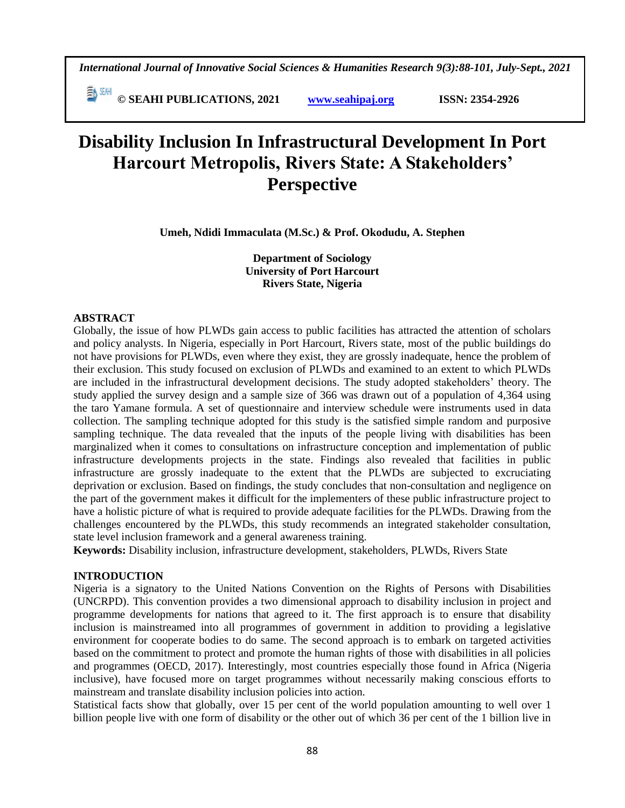*International Journal of Innovative Social Sciences & Humanities Research 9(3):88-101, July-Sept., 2021*

 **© SEAHI PUBLICATIONS, 2021 [www.seahipaj.org](http://www.seahipaj.org/) ISSN: 2354-2926** 

# **Disability Inclusion In Infrastructural Development In Port Harcourt Metropolis, Rivers State: A Stakeholders' Perspective**

**Umeh, Ndidi Immaculata (M.Sc.) & Prof. Okodudu, A. Stephen**

**Department of Sociology University of Port Harcourt Rivers State, Nigeria**

## **ABSTRACT**

Globally, the issue of how PLWDs gain access to public facilities has attracted the attention of scholars and policy analysts. In Nigeria, especially in Port Harcourt, Rivers state, most of the public buildings do not have provisions for PLWDs, even where they exist, they are grossly inadequate, hence the problem of their exclusion. This study focused on exclusion of PLWDs and examined to an extent to which PLWDs are included in the infrastructural development decisions. The study adopted stakeholders' theory. The study applied the survey design and a sample size of 366 was drawn out of a population of 4,364 using the taro Yamane formula. A set of questionnaire and interview schedule were instruments used in data collection. The sampling technique adopted for this study is the satisfied simple random and purposive sampling technique. The data revealed that the inputs of the people living with disabilities has been marginalized when it comes to consultations on infrastructure conception and implementation of public infrastructure developments projects in the state. Findings also revealed that facilities in public infrastructure are grossly inadequate to the extent that the PLWDs are subjected to excruciating deprivation or exclusion. Based on findings, the study concludes that non-consultation and negligence on the part of the government makes it difficult for the implementers of these public infrastructure project to have a holistic picture of what is required to provide adequate facilities for the PLWDs. Drawing from the challenges encountered by the PLWDs, this study recommends an integrated stakeholder consultation, state level inclusion framework and a general awareness training.

**Keywords:** Disability inclusion, infrastructure development, stakeholders, PLWDs, Rivers State

#### **INTRODUCTION**

Nigeria is a signatory to the United Nations Convention on the Rights of Persons with Disabilities (UNCRPD). This convention provides a two dimensional approach to disability inclusion in project and programme developments for nations that agreed to it. The first approach is to ensure that disability inclusion is mainstreamed into all programmes of government in addition to providing a legislative environment for cooperate bodies to do same. The second approach is to embark on targeted activities based on the commitment to protect and promote the human rights of those with disabilities in all policies and programmes (OECD, 2017). Interestingly, most countries especially those found in Africa (Nigeria inclusive), have focused more on target programmes without necessarily making conscious efforts to mainstream and translate disability inclusion policies into action.

Statistical facts show that globally, over 15 per cent of the world population amounting to well over 1 billion people live with one form of disability or the other out of which 36 per cent of the 1 billion live in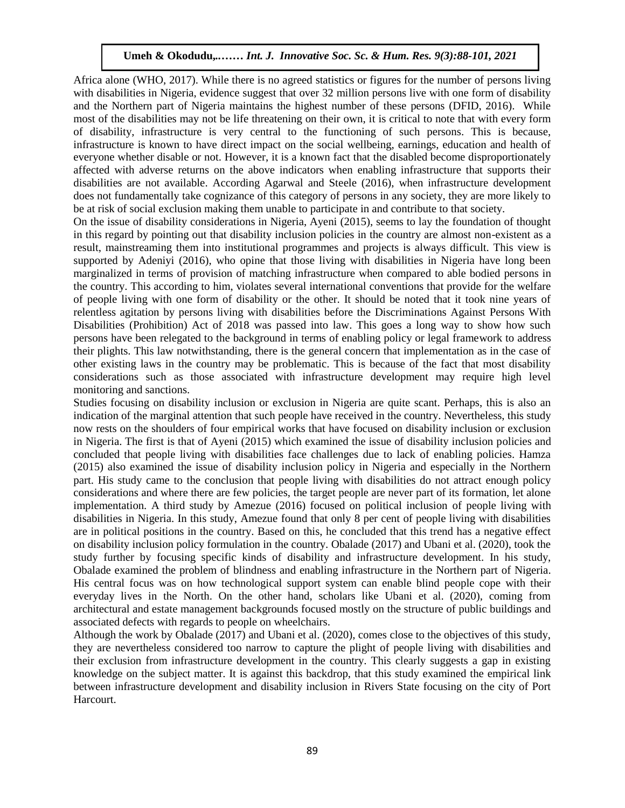Africa alone (WHO, 2017). While there is no agreed statistics or figures for the number of persons living with disabilities in Nigeria, evidence suggest that over 32 million persons live with one form of disability and the Northern part of Nigeria maintains the highest number of these persons (DFID, 2016). While most of the disabilities may not be life threatening on their own, it is critical to note that with every form of disability, infrastructure is very central to the functioning of such persons. This is because, infrastructure is known to have direct impact on the social wellbeing, earnings, education and health of everyone whether disable or not. However, it is a known fact that the disabled become disproportionately affected with adverse returns on the above indicators when enabling infrastructure that supports their disabilities are not available. According Agarwal and Steele (2016), when infrastructure development does not fundamentally take cognizance of this category of persons in any society, they are more likely to be at risk of social exclusion making them unable to participate in and contribute to that society.

On the issue of disability considerations in Nigeria, Ayeni (2015), seems to lay the foundation of thought in this regard by pointing out that disability inclusion policies in the country are almost non-existent as a result, mainstreaming them into institutional programmes and projects is always difficult. This view is supported by Adeniyi (2016), who opine that those living with disabilities in Nigeria have long been marginalized in terms of provision of matching infrastructure when compared to able bodied persons in the country. This according to him, violates several international conventions that provide for the welfare of people living with one form of disability or the other. It should be noted that it took nine years of relentless agitation by persons living with disabilities before the Discriminations Against Persons With Disabilities (Prohibition) Act of 2018 was passed into law. This goes a long way to show how such Disabilities (Fromotion) Act of 2018 was passed into faw. This goes a long way to show now such<br>persons have been relegated to the background in terms of enabling policy or legal framework to address their plights. This law notwithstanding, there is the general concern that implementation as in the case of other existing laws in the country may be problematic. This is because of the fact that most disability considerations such as those associated with infrastructure development may require high level monitoring and sanctions.

Studies focusing on disability inclusion or exclusion in Nigeria are quite scant. Perhaps, this is also an indication of the marginal attention that such people have received in the country. Nevertheless, this study now rests on the shoulders of four empirical works that have focused on disability inclusion or exclusion in Nigeria. The first is that of Ayeni (2015) which examined the issue of disability inclusion policies and concluded that people living with disabilities face challenges due to lack of enabling policies. Hamza (2015) also examined the issue of disability inclusion policy in Nigeria and especially in the Northern part. His study came to the conclusion that people living with disabilities do not attract enough policy considerations and where there are few policies, the target people are never part of its formation, let alone implementation. A third study by Amezue (2016) focused on political inclusion of people living with disabilities in Nigeria. In this study, Amezue found that only 8 per cent of people living with disabilities are in political positions in the country. Based on this, he concluded that this trend has a negative effect on disability inclusion policy formulation in the country. Obalade (2017) and Ubani et al. (2020), took the study further by focusing specific kinds of disability and infrastructure development. In his study, Obalade examined the problem of blindness and enabling infrastructure in the Northern part of Nigeria. His central focus was on how technological support system can enable blind people cope with their everyday lives in the North. On the other hand, scholars like Ubani et al. (2020), coming from architectural and estate management backgrounds focused mostly on the structure of public buildings and associated defects with regards to people on wheelchairs.

Although the work by Obalade (2017) and Ubani et al. (2020), comes close to the objectives of this study, they are nevertheless considered too narrow to capture the plight of people living with disabilities and their exclusion from infrastructure development in the country. This clearly suggests a gap in existing knowledge on the subject matter. It is against this backdrop, that this study examined the empirical link between infrastructure development and disability inclusion in Rivers State focusing on the city of Port Harcourt.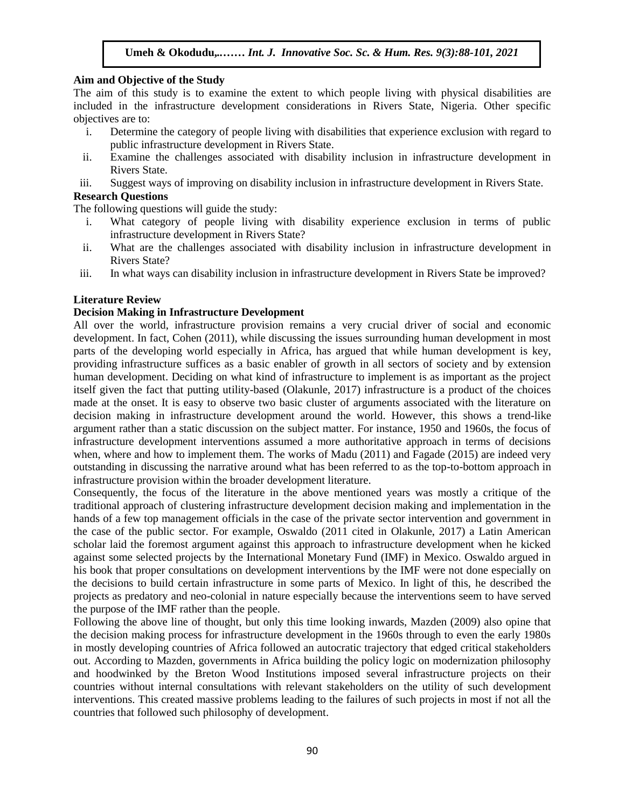#### **Aim and Objective of the Study**

The aim of this study is to examine the extent to which people living with physical disabilities are  $\frac{1}{2}$ . included in the infrastructure development considerations in Rivers State, Nigeria. Other specific objectives are to:

- i. Determine the category of people living with disabilities that experience exclusion with regard to public infrastructure development in Rivers State.
- ii. Examine the challenges associated with disability inclusion in infrastructure development in Rivers State.
- iii. Suggest ways of improving on disability inclusion in infrastructure development in Rivers State.

## **Research Questions**

The following questions will guide the study:

- i. What category of people living with disability experience exclusion in terms of public infrastructure development in Rivers State?
- ii. What are the challenges associated with disability inclusion in infrastructure development in Rivers State?
- iii. In what ways can disability inclusion in infrastructure development in Rivers State be improved? Arugu Ways can disdomly metaston in initial detailed development in Fave

## **Literature Review**

#### **Decision Making in Infrastructure Development**

All over the world, infrastructure provision remains a very crucial driver of social and economic development. In fact, Cohen (2011), while discussing the issues surrounding human development in most parts of the developing world especially in Africa, has argued that while human development is key, providing infrastructure suffices as a basic enabler of growth in all sectors of society and by extension human development. Deciding on what kind of infrastructure to implement is as important as the project itself given the fact that putting utility-based (Olakunle, 2017) infrastructure is a product of the choices made at the onset. It is easy to observe two basic cluster of arguments associated with the literature on decision making in infrastructure development around the world. However, this shows a trend-like argument rather than a static discussion on the subject matter. For instance, 1950 and 1960s, the focus of infrastructure development interventions assumed a more authoritative approach in terms of decisions when, where and how to implement them. The works of Madu (2011) and Fagade (2015) are indeed very outstanding in discussing the narrative around what has been referred to as the top-to-bottom approach in infrastructure provision within the broader development literature.

Consequently, the focus of the literature in the above mentioned years was mostly a critique of the traditional approach of clustering infrastructure development decision making and implementation in the hands of a few top management officials in the case of the private sector intervention and government in the case of the public sector. For example, Oswaldo (2011 cited in Olakunle, 2017) a Latin American scholar laid the foremost argument against this approach to infrastructure development when he kicked against some selected projects by the International Monetary Fund (IMF) in Mexico. Oswaldo argued in his book that proper consultations on development interventions by the IMF were not done especially on the decisions to build certain infrastructure in some parts of Mexico. In light of this, he described the projects as predatory and neo-colonial in nature especially because the interventions seem to have served the purpose of the IMF rather than the people.

Following the above line of thought, but only this time looking inwards, Mazden (2009) also opine that the decision making process for infrastructure development in the 1960s through to even the early 1980s in mostly developing countries of Africa followed an autocratic trajectory that edged critical stakeholders out. According to Mazden, governments in Africa building the policy logic on modernization philosophy and hoodwinked by the Breton Wood Institutions imposed several infrastructure projects on their countries without internal consultations with relevant stakeholders on the utility of such development interventions. This created massive problems leading to the failures of such projects in most if not all the countries that followed such philosophy of development.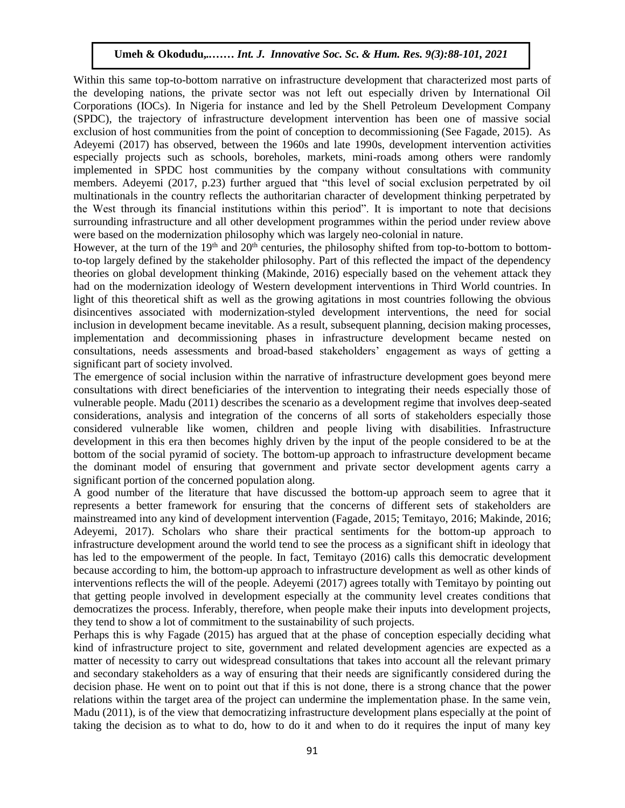Within this same top-to-bottom narrative on infrastructure development that characterized most parts of the developing nations, the private sector was not left out especially driven by International Oil not developing nations, the private sector was not felt out especially driven by international on<br>Corporations (IOCs). In Nigeria for instance and led by the Shell Petroleum Development Company (SPDC), the trajectory of infrastructure development intervention has been one of massive social exclusion of host communities from the point of conception to decommissioning (See Fagade, 2015). As Adeyemi (2017) has observed, between the 1960s and late 1990s, development intervention activities especially projects such as schools, boreholes, markets, mini-roads among others were randomly implemented in SPDC host communities by the company without consultations with community members. Adeyemi (2017, p.23) further argued that "this level of social exclusion perpetrated by oil multinationals in the country reflects the authoritarian character of development thinking perpetrated by multinationals in the country reflects the authoritarian character of development thinking perpetrated by the West through its financial institutions within this period". It is important to note that decisions surrounding infrastructure and all other development programmes within the period under review above were based on the modernization philosophy which was largely neo-colonial in nature.

However, at the turn of the  $19<sup>th</sup>$  and  $20<sup>th</sup>$  centuries, the philosophy shifted from top-to-bottom to bottomto-top largely defined by the stakeholder philosophy. Part of this reflected the impact of the dependency theories on global development thinking (Makinde, 2016) especially based on the vehement attack they had on the modernization ideology of Western development interventions in Third World countries. In light of this theoretical shift as well as the growing agitations in most countries following the obvious disincentives associated with modernization-styled development interventions, the need for social inclusion in development became inevitable. As a result, subsequent planning, decision making processes, implementation and decommissioning phases in infrastructure development became nested on consultations, needs assessments and broad-based stakeholders' engagement as ways of getting a significant part of society involved.

The emergence of social inclusion within the narrative of infrastructure development goes beyond mere consultations with direct beneficiaries of the intervention to integrating their needs especially those of vulnerable people. Madu (2011) describes the scenario as a development regime that involves deep-seated considerations, analysis and integration of the concerns of all sorts of stakeholders especially those considered vulnerable like women, children and people living with disabilities. Infrastructure development in this era then becomes highly driven by the input of the people considered to be at the bottom of the social pyramid of society. The bottom-up approach to infrastructure development became the dominant model of ensuring that government and private sector development agents carry a significant portion of the concerned population along.

A good number of the literature that have discussed the bottom-up approach seem to agree that it represents a better framework for ensuring that the concerns of different sets of stakeholders are mainstreamed into any kind of development intervention (Fagade, 2015; Temitayo, 2016; Makinde, 2016; Adeyemi, 2017). Scholars who share their practical sentiments for the bottom-up approach to infrastructure development around the world tend to see the process as a significant shift in ideology that has led to the empowerment of the people. In fact, Temitayo (2016) calls this democratic development because according to him, the bottom-up approach to infrastructure development as well as other kinds of interventions reflects the will of the people. Adeyemi (2017) agrees totally with Temitayo by pointing out that getting people involved in development especially at the community level creates conditions that democratizes the process. Inferably, therefore, when people make their inputs into development projects, they tend to show a lot of commitment to the sustainability of such projects.

Perhaps this is why Fagade (2015) has argued that at the phase of conception especially deciding what kind of infrastructure project to site, government and related development agencies are expected as a matter of necessity to carry out widespread consultations that takes into account all the relevant primary and secondary stakeholders as a way of ensuring that their needs are significantly considered during the decision phase. He went on to point out that if this is not done, there is a strong chance that the power relations within the target area of the project can undermine the implementation phase. In the same vein, Madu (2011), is of the view that democratizing infrastructure development plans especially at the point of taking the decision as to what to do, how to do it and when to do it requires the input of many key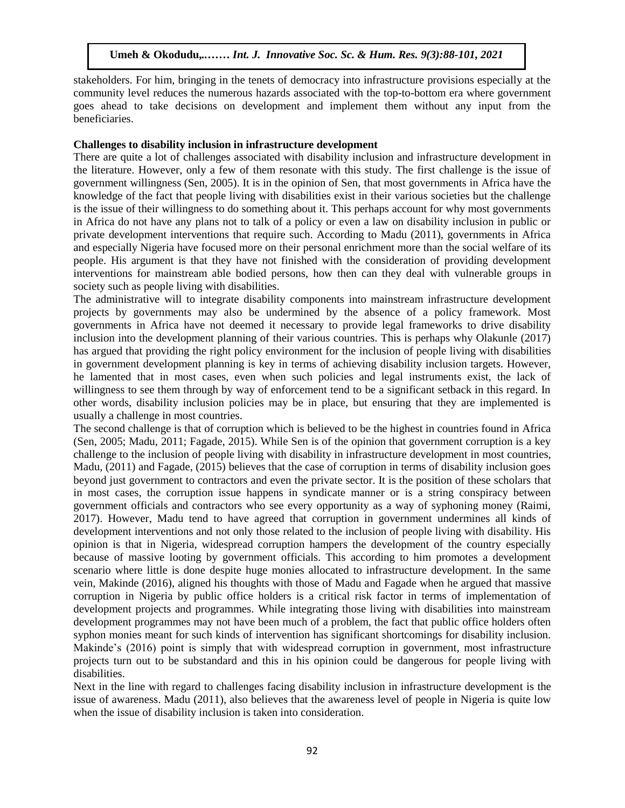stakeholders. For him, bringing in the tenets of democracy into infrastructure provisions especially at the community level reduces the numerous hazards associated with the top-to-bottom era where government goes ahead to take decisions on development and implement them without any input from the government beneficiaries.

## Challenges to disability inclusion in infrastructure development

There are quite a lot of challenges associated with disability inclusion and infrastructure development in the literature. However, only a few of them resonate with this study. The first challenge is the issue of government willingness (Sen, 2005). It is in the opinion of Sen, that most governments in Africa have the knowledge of the fact that people living with disabilities exist in their various societies but the challenge is the issue of their willingness to do something about it. This perhaps account for why most governments in Africa do not have any plans not to talk of a policy or even a law on disability inclusion in public or private development interventions that require such. According to Madu (2011), governments in Africa and especially Nigeria have focused more on their personal enrichment more than the social welfare of its people. His argument is that they have not finished with the consideration of providing development interventions for mainstream able bodied persons, how then can they deal with vulnerable groups in society such as people living with disabilities.

The administrative will to integrate disability components into mainstream infrastructure development projects by governments may also be undermined by the absence of a policy framework. Most governments in Africa have not deemed it necessary to provide legal frameworks to drive disability (2017). inclusion into the development planning of their various countries. This is perhaps why Olakunle (2017) has argued that providing the right policy environment for the inclusion of people living with disabilities in government development planning is key in terms of achieving disability inclusion targets. However, he lamented that in most cases, even when such policies and legal instruments exist, the lack of willingness to see them through by way of enforcement tend to be a significant setback in this regard. In other words, disability inclusion policies may be in place, but ensuring that they are implemented is usually a challenge in most countries.

The second challenge is that of corruption which is believed to be the highest in countries found in Africa (Sen, 2005; Madu, 2011; Fagade, 2015). While Sen is of the opinion that government corruption is a key challenge to the inclusion of people living with disability in infrastructure development in most countries, Madu, (2011) and Fagade, (2015) believes that the case of corruption in terms of disability inclusion goes beyond just government to contractors and even the private sector. It is the position of these scholars that in most cases, the corruption issue happens in syndicate manner or is a string conspiracy between government officials and contractors who see every opportunity as a way of syphoning money (Raimi, 2017). However, Madu tend to have agreed that corruption in government undermines all kinds of development interventions and not only those related to the inclusion of people living with disability. His opinion is that in Nigeria, widespread corruption hampers the development of the country especially because of massive looting by government officials. This according to him promotes a development scenario where little is done despite huge monies allocated to infrastructure development. In the same vein, Makinde (2016), aligned his thoughts with those of Madu and Fagade when he argued that massive corruption in Nigeria by public office holders is a critical risk factor in terms of implementation of development projects and programmes. While integrating those living with disabilities into mainstream development programmes may not have been much of a problem, the fact that public office holders often syphon monies meant for such kinds of intervention has significant shortcomings for disability inclusion. Makinde's (2016) point is simply that with widespread corruption in government, most infrastructure projects turn out to be substandard and this in his opinion could be dangerous for people living with disabilities.

Next in the line with regard to challenges facing disability inclusion in infrastructure development is the issue of awareness. Madu (2011), also believes that the awareness level of people in Nigeria is quite low when the issue of disability inclusion is taken into consideration.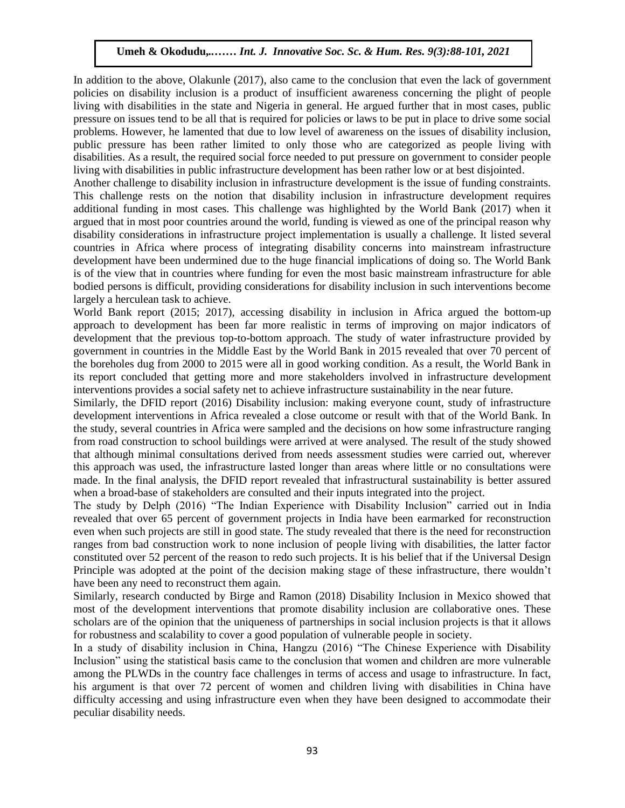In addition to the above, Olakunle (2017), also came to the conclusion that even the lack of government policies on disability inclusion is a product of insufficient awareness concerning the plight of people living with disabilities in the state and Nigeria in general. He argued further that in most cases, public pressure on issues tend to be all that is required for policies or laws to be put in place to drive some social problems. However, he lamented that due to low level of awareness on the issues of disability inclusion, public pressure has been rather limited to only those who are categorized as people living with disabilities. As a result, the required social force needed to put pressure on government to consider people living with disabilities in public infrastructure development has been rather low or at best disjointed.

Another challenge to disability inclusion in infrastructure development is the issue of funding constraints. Another chancinge to disability inclusion in infrastructure development is the issue of funding constraints.<br>This challenge rests on the notion that disability inclusion in infrastructure development requires additional funding in most cases. This challenge was highlighted by the World Bank (2017) when it argued that in most poor countries around the world, funding is viewed as one of the principal reason why disability considerations in infrastructure project implementation is usually a challenge. It listed several countries in Africa where process of integrating disability concerns into mainstream infrastructure development have been undermined due to the huge financial implications of doing so. The World Bank is of the view that in countries where funding for even the most basic mainstream infrastructure for able bodied persons is difficult, providing considerations for disability inclusion in such interventions become bodied largely a herculean task to achieve.

World Bank report (2015; 2017), accessing disability in inclusion in Africa argued the bottom-up approach to development has been far more realistic in terms of improving on major indicators of development that the previous top-to-bottom approach. The study of water infrastructure provided by government in countries in the Middle East by the World Bank in 2015 revealed that over 70 percent of the boreholes dug from 2000 to 2015 were all in good working condition. As a result, the World Bank in Its report concluded that getting more and more stakeholders involved in infrastructure development interventions provides a social safety net to achieve infrastructure sustainability in the near future.

Similarly, the DFID report (2016) Disability inclusion: making everyone count, study of infrastructure development interventions in Africa revealed a close outcome or result with that of the World Bank. In the study, several countries in Africa were sampled and the decisions on how some infrastructure ranging from road construction to school buildings were arrived at were analysed. The result of the study showed that although minimal consultations derived from needs assessment studies were carried out, wherever this approach was used, the infrastructure lasted longer than areas where little or no consultations were made. In the final analysis, the DFID report revealed that infrastructural sustainability is better assured when a broad-base of stakeholders are consulted and their inputs integrated into the project.

The study by Delph (2016) "The Indian Experience with Disability Inclusion" carried out in India revealed that over 65 percent of government projects in India have been earmarked for reconstruction even when such projects are still in good state. The study revealed that there is the need for reconstruction ranges from bad construction work to none inclusion of people living with disabilities, the latter factor constituted over 52 percent of the reason to redo such projects. It is his belief that if the Universal Design Principle was adopted at the point of the decision making stage of these infrastructure, there wouldn't have been any need to reconstruct them again.

Similarly, research conducted by Birge and Ramon (2018) Disability Inclusion in Mexico showed that most of the development interventions that promote disability inclusion are collaborative ones. These scholars are of the opinion that the uniqueness of partnerships in social inclusion projects is that it allows for robustness and scalability to cover a good population of vulnerable people in society.

In a study of disability inclusion in China, Hangzu (2016) "The Chinese Experience with Disability Inclusion" using the statistical basis came to the conclusion that women and children are more vulnerable among the PLWDs in the country face challenges in terms of access and usage to infrastructure. In fact, his argument is that over 72 percent of women and children living with disabilities in China have difficulty accessing and using infrastructure even when they have been designed to accommodate their peculiar disability needs.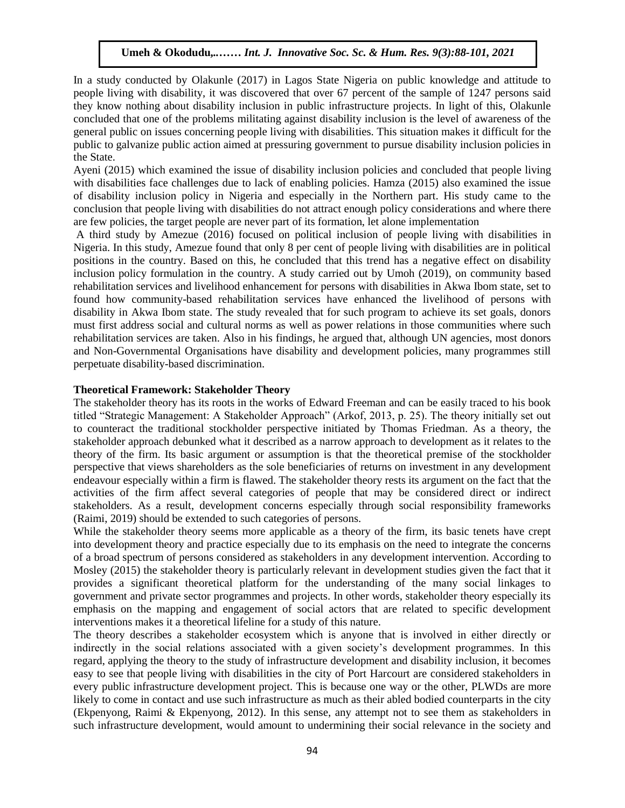In a study conducted by Olakunle (2017) in Lagos State Nigeria on public knowledge and attitude to people living with disability, it was discovered that over 67 percent of the sample of 1247 persons said they know nothing about disability inclusion in public infrastructure projects. In light of this, Olakunle concluded that one of the problems militating against disability inclusion is the level of awareness of the general public on issues concerning people living with disabilities. This situation makes it difficult for the public to galvanize public action aimed at pressuring government to pursue disability inclusion policies in the State.

Ayeni (2015) which examined the issue of disability inclusion policies and concluded that people living with disabilities face challenges due to lack of enabling policies. Hamza (2015) also examined the issue of disability inclusion policy in Nigeria and especially in the Northern part. His study came to the conclusion that people living with disabilities do not attract enough policy considerations and where there are few policies, the target people are never part of its formation, let alone implementation

A third study by Amezue (2016) focused on political inclusion of people living with disabilities in Nigeria. In this study, Amezue found that only 8 per cent of people living with disabilities are in political positions in the country. Based on this, he concluded that this trend has a negative effect on disability inclusion policy formulation in the country. A study carried out by Umoh (2019), on community based rehabilitation services and livelihood enhancement for persons with disabilities in Akwa Ibom state, set to found how community-based rehabilitation services have enhanced the livelihood of persons with disability in Akwa Ibom state. The study revealed that for such program to achieve its set goals, donors must first address social and cultural norms as well as power relations in those communities where such rehabilitation services are taken. Also in his findings, he argued that, although UN agencies, most donors and Non-Governmental Organisations have disability and development policies, many programmes still perpetuate disability-based discrimination. Arugu & Wosu …… Int. J. Innovative Soc. Sc. & Hum. Res. 8(1):1-11, 2020

#### **Theoretical Framework: Stakeholder Theory**

The stakeholder theory has its roots in the works of Edward Freeman and can be easily traced to his book titled "Strategic Management: A Stakeholder Approach" (Arkof, 2013, p. 25). The theory initially set out to counteract the traditional stockholder perspective initiated by Thomas Friedman. As a theory, the stakeholder approach debunked what it described as a narrow approach to development as it relates to the theory of the firm. Its basic argument or assumption is that the theoretical premise of the stockholder perspective that views shareholders as the sole beneficiaries of returns on investment in any development endeavour especially within a firm is flawed. The stakeholder theory rests its argument on the fact that the activities of the firm affect several categories of people that may be considered direct or indirect stakeholders. As a result, development concerns especially through social responsibility frameworks (Raimi, 2019) should be extended to such categories of persons.

While the stakeholder theory seems more applicable as a theory of the firm, its basic tenets have crept into development theory and practice especially due to its emphasis on the need to integrate the concerns of a broad spectrum of persons considered as stakeholders in any development intervention. According to Mosley (2015) the stakeholder theory is particularly relevant in development studies given the fact that it provides a significant theoretical platform for the understanding of the many social linkages to government and private sector programmes and projects. In other words, stakeholder theory especially its emphasis on the mapping and engagement of social actors that are related to specific development interventions makes it a theoretical lifeline for a study of this nature.

The theory describes a stakeholder ecosystem which is anyone that is involved in either directly or indirectly in the social relations associated with a given society's development programmes. In this regard, applying the theory to the study of infrastructure development and disability inclusion, it becomes easy to see that people living with disabilities in the city of Port Harcourt are considered stakeholders in every public infrastructure development project. This is because one way or the other, PLWDs are more likely to come in contact and use such infrastructure as much as their abled bodied counterparts in the city (Ekpenyong, Raimi & Ekpenyong, 2012). In this sense, any attempt not to see them as stakeholders in such infrastructure development, would amount to undermining their social relevance in the society and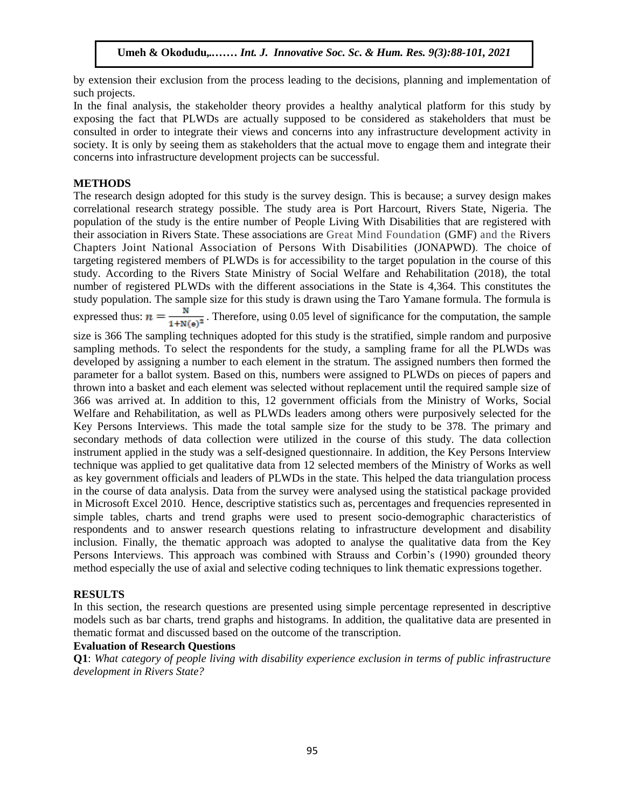by extension their exclusion from the process leading to the decisions, planning and implementation of such projects.

such projects.<br>In the final analysis, the stakeholder theory provides a healthy analytical platform for this study by exposing the fact that PLWDs are actually supposed to be considered as stakeholders that must be consulted in order to integrate their views and concerns into any infrastructure development activity in society. It is only by seeing them as stakeholders that the actual move to engage them and integrate their concerns into infrastructure development projects can be successful.

#### **METHODS**

The research design adopted for this study is the survey design. This is because; a survey design makes correlational research strategy possible. The study area is Port Harcourt, Rivers State, Nigeria. The population of the study is the entire number of People Living With Disabilities that are registered with their association in Rivers State. These associations are Great Mind Foundation (GMF) and the Rivers Chapters Joint National Association of Persons With Disabilities (JONAPWD). The choice of targeting registered members of PLWDs is for accessibility to the target population in the course of this study. According to the Rivers State Ministry of Social Welfare and Rehabilitation (2018), the total number of registered PLWDs with the different associations in the State is 4,364. This constitutes the study population. The sample size for this study is drawn using the Taro Yamane formula. The formula is expressed thus:  $n = \frac{R}{4.186 \times R}$ . Therefore, using 0.05 level of significance for the computation, the sample size is 366 The sampling techniques adopted for this study is the stratified, simple random and purposive sampling methods. To select the respondents for the study, a sampling frame for all the PLWDs was developed by assigning a number to each element in the stratum. The assigned numbers then formed the  $1+N(e)^{-1}$ 

parameter for a ballot system. Based on this, numbers were assigned to PLWDs on pieces of papers and thrown into a basket and each element was selected without replacement until the required sample size of 366 was arrived at. In addition to this, 12 government officials from the Ministry of Works, Social Welfare and Rehabilitation, as well as PLWDs leaders among others were purposively selected for the Key Persons Interviews. This made the total sample size for the study to be 378. The primary and secondary methods of data collection were utilized in the course of this study. The data collection instrument applied in the study was a self-designed questionnaire. In addition, the Key Persons Interview technique was applied to get qualitative data from 12 selected members of the Ministry of Works as well as key government officials and leaders of PLWDs in the state. This helped the data triangulation process in the course of data analysis. Data from the survey were analysed using the statistical package provided in Microsoft Excel 2010. Hence, descriptive statistics such as, percentages and frequencies represented in simple tables, charts and trend graphs were used to present socio-demographic characteristics of respondents and to answer research questions relating to infrastructure development and disability inclusion. Finally, the thematic approach was adopted to analyse the qualitative data from the Key Persons Interviews. This approach was combined with Strauss and Corbin's (1990) grounded theory method especially the use of axial and selective coding techniques to link thematic expressions together.

## **RESULTS**

In this section, the research questions are presented using simple percentage represented in descriptive models such as bar charts, trend graphs and histograms. In addition, the qualitative data are presented in thematic format and discussed based on the outcome of the transcription.

## **Evaluation of Research Questions**

**Q1**: *What category of people living with disability experience exclusion in terms of public infrastructure development in Rivers State?*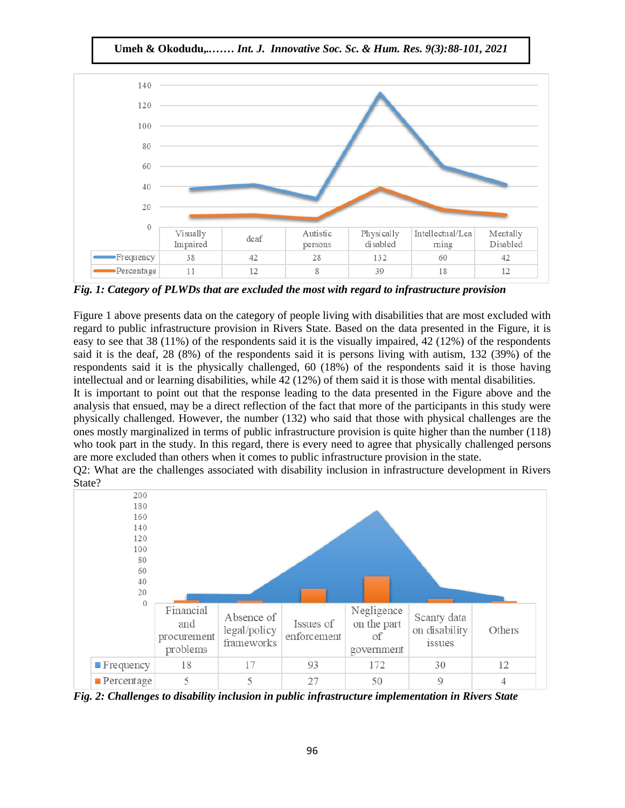**Umeh & Okodudu,***..…… Int. J. Innovative Soc. Sc. & Hum. Res. 9(3):88-101, 2021*



*Fig. 1: Category of PLWDs that are excluded the most with regard to infrastructure provision*

Figure 1 above presents data on the category of people living with disabilities that are most excluded with regard to public infrastructure provision in Rivers State. Based on the data presented in the Figure, it is innovative with research of public infrastructure provision in Rivers State. Based on the data presented in the Fi easy to see that 38 (11%) of the respondents said it is the visually impaired, 42 (12%) of the respondents said it is the deaf, 28 (8%) of the respondents said it is persons living with autism, 132 (39%) of the respondents said it is the physically challenged, 60 (18%) of the respondents said it is those having intellectual and or learning disabilities, while 42 (12%) of them said it is those with mental disabilities.

It is important to point out that the response leading to the data presented in the Figure above and the analysis that ensued, may be a direct reflection of the fact that more of the participants in this study were physically challenged. However, the number (132) who said that those with physical challenges are the ones mostly marginalized in terms of public infrastructure provision is quite higher than the number (118) who took part in the study. In this regard, there is every need to agree that physically challenged persons are more excluded than others when it comes to public infrastructure provision in the state.

Q2: What are the challenges associated with disability inclusion in infrastructure development in Rivers State?



*Fig. 2: Challenges to disability inclusion in public infrastructure implementation in Rivers State*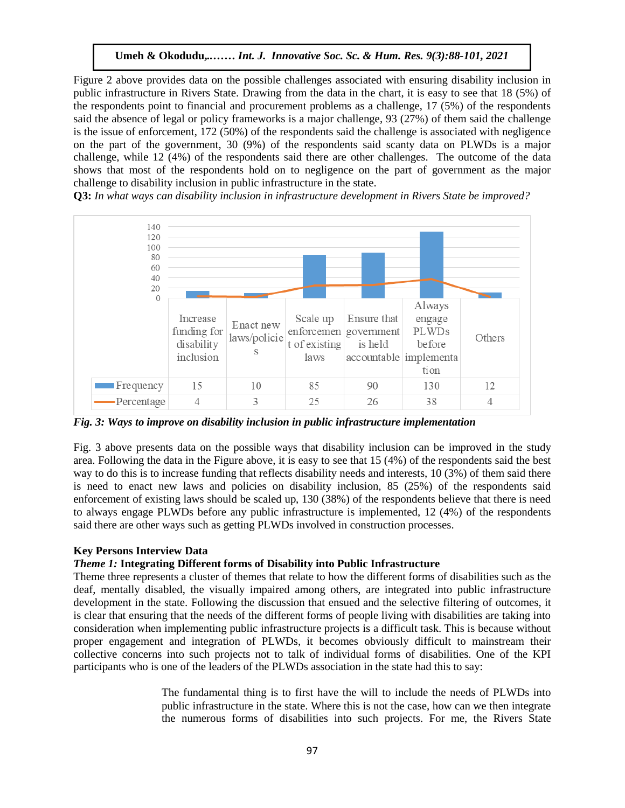Figure 2 above provides data on the possible challenges associated with ensuring disability inclusion in public infrastructure in Rivers State. Drawing from the data in the chart, it is easy to see that 18 (5%) of the respondents point to financial and procurement problems as a challenge,  $17$  (5%) of the respondents  $\frac{17}{100}$ said the absence of legal or policy frameworks is a major challenge, 93 (27%) of them said the challenge is the issue of enforcement, 172 (50%) of the respondents said the challenge is associated with negligence on the part of the government, 30 (9%) of the respondents said scanty data on PLWDs is a major challenge, while 12 (4%) of the respondents said there are other challenges. The outcome of the data shows that most of the respondents hold on to negligence on the part of government as the major challenge to disability inclusion in public infrastructure in the state.

**Q3:** In what ways can disability inclusion in infrastructure development in Rivers State be improved?



*Fig. 3: Ways to improve on disability inclusion in public infrastructure implementation*

Fig. 3 above presents data on the possible ways that disability inclusion can be improved in the study area. Following the data in the Figure above, it is easy to see that 15 (4%) of the respondents said the best way to do this is to increase funding that reflects disability needs and interests, 10 (3%) of them said there is need to enact new laws and policies on disability inclusion, 85 (25%) of the respondents said enforcement of existing laws should be scaled up, 130 (38%) of the respondents believe that there is need to always engage PLWDs before any public infrastructure is implemented, 12 (4%) of the respondents said there are other ways such as getting PLWDs involved in construction processes.

## **Key Persons Interview Data**

## *Theme 1:* **Integrating Different forms of Disability into Public Infrastructure**

Theme three represents a cluster of themes that relate to how the different forms of disabilities such as the deaf, mentally disabled, the visually impaired among others, are integrated into public infrastructure development in the state. Following the discussion that ensued and the selective filtering of outcomes, it is clear that ensuring that the needs of the different forms of people living with disabilities are taking into consideration when implementing public infrastructure projects is a difficult task. This is because without proper engagement and integration of PLWDs, it becomes obviously difficult to mainstream their collective concerns into such projects not to talk of individual forms of disabilities. One of the KPI participants who is one of the leaders of the PLWDs association in the state had this to say:

> The fundamental thing is to first have the will to include the needs of PLWDs into public infrastructure in the state. Where this is not the case, how can we then integrate the numerous forms of disabilities into such projects. For me, the Rivers State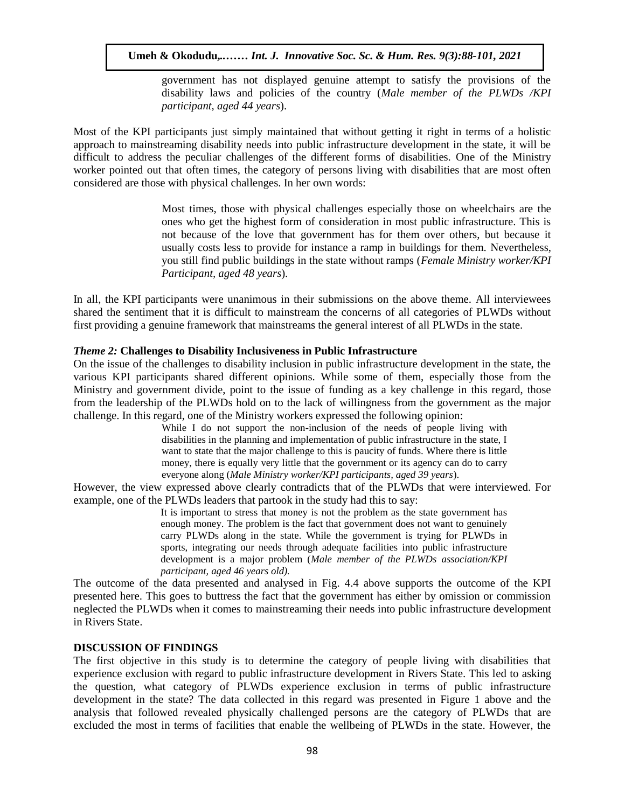government has not displayed genuine attempt to satisfy the provisions of the disability laws and policies of the country (*Male member of the PLWDs /KPI*  assuming the unit particle of the country (there member participant, aged 44 years).

Most of the KPI participants just simply maintained that without getting it right in terms of a holistic approach to mainstreaming disability needs into public infrastructure development in the state, it will be difficult to address the peculiar challenges of the different forms of disabilities. One of the Ministry worker pointed out that often times, the category of persons living with disabilities that are most often considered are those with physical challenges. In her own words:  $\mathcal{L}$ 

Most times, those with physical challenges especially those on wheelchairs are the ones who get the highest form of consideration in most public infrastructure. This is not because of the love that government has for them over others, but because it usually costs less to provide for instance a ramp in buildings for them. Nevertheless, you still find public buildings in the state without ramps (*Female Ministry worker/KPI Participant, aged 48 years*).

In all, the KPI participants were unanimous in their submissions on the above theme. All interviewees shared the sentiment that it is difficult to mainstream the concerns of all categories of PLWDs without first providing a genuine framework that mainstreams the general interest of all PLWDs in the state.

#### *Theme 2:* **Challenges to Disability Inclusiveness in Public Infrastructure**

On the issue of the challenges to disability inclusion in public infrastructure development in the state, the various KPI participants shared different opinions. While some of them, especially those from the Ministry and government divide, point to the issue of funding as a key challenge in this regard, those from the leadership of the PLWDs hold on to the lack of willingness from the government as the major challenge. In this regard, one of the Ministry workers expressed the following opinion:

While I do not support the non-inclusion of the needs of people living with disabilities in the planning and implementation of public infrastructure in the state, I want to state that the major challenge to this is paucity of funds. Where there is little money, there is equally very little that the government or its agency can do to carry everyone along (*Male Ministry worker/KPI participants, aged 39 years*).

However, the view expressed above clearly contradicts that of the PLWDs that were interviewed. For example, one of the PLWDs leaders that partook in the study had this to say:

> It is important to stress that money is not the problem as the state government has enough money. The problem is the fact that government does not want to genuinely carry PLWDs along in the state. While the government is trying for PLWDs in sports, integrating our needs through adequate facilities into public infrastructure development is a major problem (*Male member of the PLWDs association/KPI participant, aged 46 years old).*

The outcome of the data presented and analysed in Fig. 4.4 above supports the outcome of the KPI presented here. This goes to buttress the fact that the government has either by omission or commission neglected the PLWDs when it comes to mainstreaming their needs into public infrastructure development in Rivers State.

#### **DISCUSSION OF FINDINGS**

The first objective in this study is to determine the category of people living with disabilities that experience exclusion with regard to public infrastructure development in Rivers State. This led to asking the question, what category of PLWDs experience exclusion in terms of public infrastructure development in the state? The data collected in this regard was presented in Figure 1 above and the analysis that followed revealed physically challenged persons are the category of PLWDs that are excluded the most in terms of facilities that enable the wellbeing of PLWDs in the state. However, the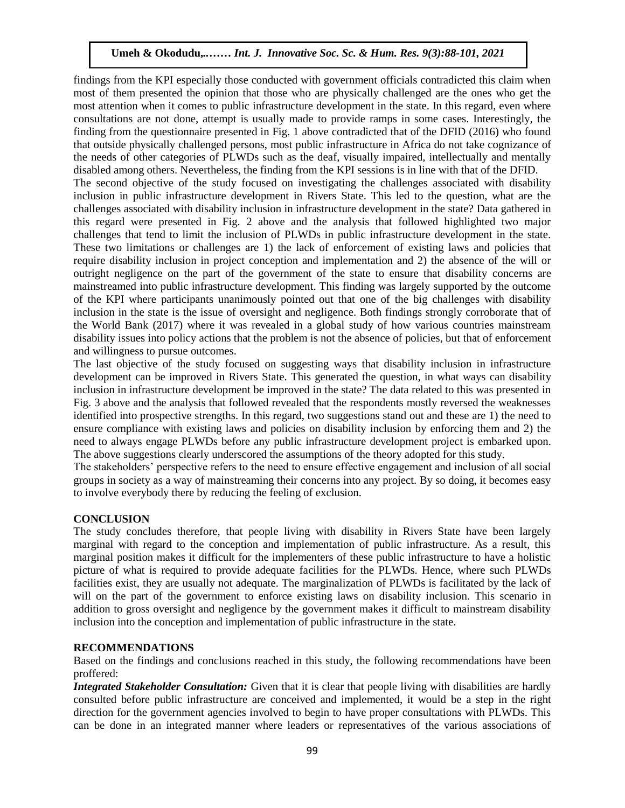findings from the KPI especially those conducted with government officials contradicted this claim when most of them presented the opinion that those who are physically challenged are the ones who get the most of them presented the opinion that those who are physically chancinged are the ones who get the most attention when it comes to public infrastructure development in the state. In this regard, even where consultations are not done, attempt is usually made to provide ramps in some cases. Interestingly, the finding from the questionnaire presented in Fig. 1 above contradicted that of the DFID (2016) who found that outside physically challenged persons, most public infrastructure in Africa do not take cognizance of the needs of other categories of PLWDs such as the deaf, visually impaired, intellectually and mentally disabled among others. Nevertheless, the finding from the KPI sessions is in line with that of the DFID. The second objective of the study focused on investigating the challenges associated with disability inclusion in public infrastructure development in Rivers State. This led to the question, what are the challenges associated with disability inclusion in infrastructure development in the state? Data gathered in this regard were presented in Fig. 2 above and the analysis that followed highlighted two major challenges that tend to limit the inclusion of PLWDs in public infrastructure development in the state. These two limitations or challenges are 1) the lack of enforcement of existing laws and policies that require disability inclusion in project conception and implementation and 2) the absence of the will or outright negligence on the part of the government of the state to ensure that disability concerns are mainstreamed into public infrastructure development. This finding was largely supported by the outcome mainstreamed into public infrastructure development. This finding was largely supported by the outcome of the KPI where participants unanimously pointed out that one of the big challenges with disability inclusion in the state is the issue of oversight and negligence. Both findings strongly corroborate that of the World Bank (2017) where it was revealed in a global study of how various countries mainstream disability issues into policy actions that the problem is not the absence of policies, but that of enforcement and willingness to pursue outcomes.

The last objective of the study focused on suggesting ways that disability inclusion in infrastructure development can be improved in Rivers State. This generated the question, in what ways can disability inclusion in infrastructure development be improved in the state? The data related to this was presented in Fig. 3 above and the analysis that followed revealed that the respondents mostly reversed the weaknesses identified into prospective strengths. In this regard, two suggestions stand out and these are 1) the need to ensure compliance with existing laws and policies on disability inclusion by enforcing them and 2) the need to always engage PLWDs before any public infrastructure development project is embarked upon. The above suggestions clearly underscored the assumptions of the theory adopted for this study.

The stakeholders' perspective refers to the need to ensure effective engagement and inclusion of all social groups in society as a way of mainstreaming their concerns into any project. By so doing, it becomes easy to involve everybody there by reducing the feeling of exclusion.

## **CONCLUSION**

The study concludes therefore, that people living with disability in Rivers State have been largely marginal with regard to the conception and implementation of public infrastructure. As a result, this marginal position makes it difficult for the implementers of these public infrastructure to have a holistic picture of what is required to provide adequate facilities for the PLWDs. Hence, where such PLWDs facilities exist, they are usually not adequate. The marginalization of PLWDs is facilitated by the lack of will on the part of the government to enforce existing laws on disability inclusion. This scenario in addition to gross oversight and negligence by the government makes it difficult to mainstream disability inclusion into the conception and implementation of public infrastructure in the state.

#### **RECOMMENDATIONS**

Based on the findings and conclusions reached in this study, the following recommendations have been proffered:

*Integrated Stakeholder Consultation:* Given that it is clear that people living with disabilities are hardly consulted before public infrastructure are conceived and implemented, it would be a step in the right direction for the government agencies involved to begin to have proper consultations with PLWDs. This can be done in an integrated manner where leaders or representatives of the various associations of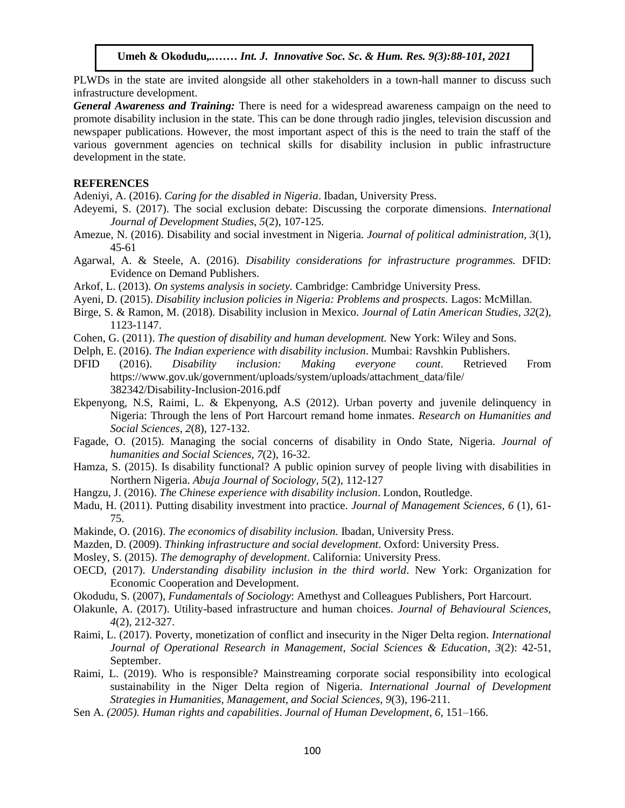PLWDs in the state are invited alongside all other stakeholders in a town-hall manner to discuss such infrastructure development.

General Awareness and Training: There is need for a widespread awareness campaign on the need to promote disability inclusion in the state. This can be done through radio jingles, television discussion and newspaper publications. However, the most important aspect of this is the need to train the staff of the various government agencies on technical skills for disability inclusion in public infrastructure development in the state.

#### **REFERENCES**

Adeniyi, A. (2016). *Caring for the disabled in Nigeria*. Ibadan, University Press.

- Adeyemi, S. (2017). The social exclusion debate: Discussing the corporate dimensions. *International Journal of Development Studies, 5*(2), 107-125.
- Amezue, N. (2016). Disability and social investment in Nigeria. *Journal of political administration*, 3(1), 45-61
- Agarwal, A. & Steele, A. (2016). *Disability considerations for infrastructure programmes.* DFID: Evidence on Demand Publishers.
- Arkof, L. (2013). On systems analysis in society. Cambridge: Cambridge University Press.
- Ayeni, D. (2015). *Disability inclusion policies in Nigeria: Problems and prospects.* Lagos: McMillan.
- Birge, S. & Ramon, M. (2018). Disability inclusion in Mexico. *Journal of Latin American Studies, 32*(2), 1123-1147.
- ruputed.com<br>Cohen, G. (2011). *The question of disability and human development*. New York: Wiley and Sons.
- Delph, E. (2016). *The Indian experience with disability inclusion*. Mumbai: Ravshkin Publishers.
- DFID (2016). *Disability inclusion: Making everyone count*. Retrieved From https://www.gov.uk/government/uploads/system/uploads/attachment\_data/file/ 382342/Disability-Inclusion-2016.pdf
- Ekpenyong, N.S, Raimi, L. & Ekpenyong, A.S (2012). Urban poverty and juvenile delinquency in Nigeria: Through the lens of Port Harcourt remand home inmates. *Research on Humanities and Social Sciences, 2*(8), 127-132.
- Fagade, O. (2015). Managing the social concerns of disability in Ondo State, Nigeria. *Journal of humanities and Social Sciences, 7*(2), 16-32.
- Hamza, S. (2015). Is disability functional? A public opinion survey of people living with disabilities in Northern Nigeria. *Abuja Journal of Sociology, 5*(2), 112-127
- Hangzu, J. (2016). *The Chinese experience with disability inclusion*. London, Routledge.
- Madu, H. (2011). Putting disability investment into practice. *Journal of Management Sciences, 6* (1), 61- 75.
- Makinde, O. (2016). *The economics of disability inclusion.* Ibadan, University Press.
- Mazden, D. (2009). *Thinking infrastructure and social development*. Oxford: University Press.
- Mosley, S. (2015). *The demography of development*. California: University Press.
- OECD, (2017). *Understanding disability inclusion in the third world*. New York: Organization for Economic Cooperation and Development.
- Okodudu, S. (2007), *Fundamentals of Sociology*: Amethyst and Colleagues Publishers, Port Harcourt.
- Olakunle, A. (2017). Utility-based infrastructure and human choices. *Journal of Behavioural Sciences, 4*(2), 212-327.
- Raimi, L. (2017). Poverty, monetization of conflict and insecurity in the Niger Delta region. *International Journal of Operational Research in Management, Social Sciences & Education*, *3*(2): 42-51, September.
- Raimi, L. (2019). Who is responsible? Mainstreaming corporate social responsibility into ecological sustainability in the Niger Delta region of Nigeria. *International Journal of Development Strategies in Humanities, Management, and Social Sciences, 9*(3), 196-211.
- Sen A. *(2005). Human rights and capabilities*. *Journal of Human Development*, *6*, 151–166.